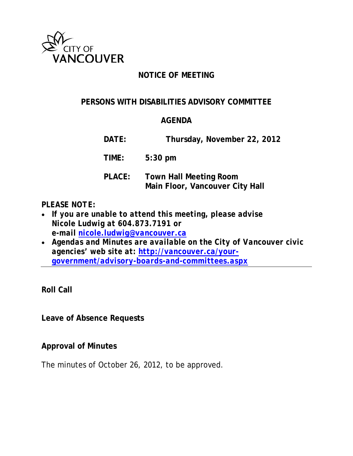

## **NOTICE OF MEETING**

#### **PERSONS WITH DISABILITIES ADVISORY COMMITTEE**

### **AGENDA**

**DATE: Thursday, November 22, 2012**

**TIME: 5:30 pm**

**PLACE: Town Hall Meeting Room Main Floor, Vancouver City Hall**

### *PLEASE NOTE:*

- *If you are unable to attend this meeting, please advise Nicole Ludwig at 604.873.7191 or e-mail [nicole.ludwig@vancouver.ca](mailto:nicole.ludwig@vancouver.ca)*
- *Agendas and Minutes are available on the City of Vancouver civic agencies' web site at: [http://vancouver.ca/your](http://vancouver.ca/your-government/advisory-boards-and-committees.aspx)[government/advisory-boards-and-committees.aspx](http://vancouver.ca/your-government/advisory-boards-and-committees.aspx)*

**Roll Call**

**Leave of Absence Requests**

#### **Approval of Minutes**

The minutes of October 26, 2012, to be approved.